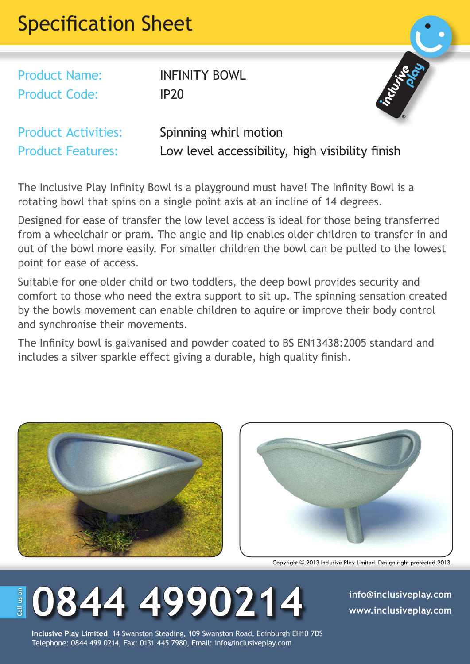## Specification Sheet

Product Name: INFINITY BOWL Product Code: IP20



Product Activities: Spinning whirl motion Product Features: Low level accessibility, high visibility finish

The Inclusive Play Infinity Bowl is a playground must have! The Infinity Bowl is a rotating bowl that spins on a single point axis at an incline of 14 degrees.

Designed for ease of transfer the low level access is ideal for those being transferred from a wheelchair or pram. The angle and lip enables older children to transfer in and out of the bowl more easily. For smaller children the bowl can be pulled to the lowest point for ease of access.

Suitable for one older child or two toddlers, the deep bowl provides security and comfort to those who need the extra support to sit up. The spinning sensation created by the bowls movement can enable children to aquire or improve their body control and synchronise their movements.

The Infinity bowl is galvanised and powder coated to BS EN13438:2005 standard and includes a silver sparkle effect giving a durable, high quality finish.





Copyright © 2013 Inclusive Play Limited. Design right protected 2013.

## **0844 4990214 info@inclusiveplay.com** all us on **Call us on**

**Inclusive Play Limited** 14 Swanston Steading, 109 Swanston Road, Edinburgh EH10 7DS Telephone: 0844 499 0214, Fax: 0131 445 7980, Email: info@inclusiveplay.com

**www.inclusiveplay.com**